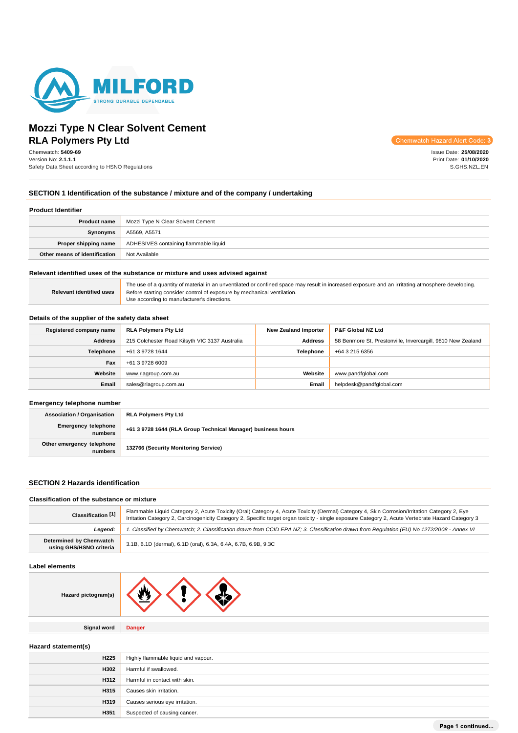

# **Mozzi Type N Clear Solvent Cement RLA Polymers Pty Ltd**

Chemwatch: **5409-69** Version No: **2.1.1.1** Safety Data Sheet according to HSNO Regulations Chemwatch Hazard Alert Code: 3

Issue Date: **25/08/2020** Print Date: **01/10/2020** S.GHS.NZL.EN

## **SECTION 1 Identification of the substance / mixture and of the company / undertaking**

#### **Product Identifier**

| Product name                  | Mozzi Type N Clear Solvent Cement     |  |
|-------------------------------|---------------------------------------|--|
| Synonyms                      | A5569, A5571                          |  |
| Proper shipping name          | ADHESIVES containing flammable liquid |  |
| Other means of identification | Not Available                         |  |

### **Relevant identified uses of the substance or mixture and uses advised against**

|                                 | The use of a quantity of material in an unventilated or confined space may result in increased exposure and an irritating atmosphere developing. |
|---------------------------------|--------------------------------------------------------------------------------------------------------------------------------------------------|
| <b>Relevant identified uses</b> | Before starting consider control of exposure by mechanical ventilation.                                                                          |
|                                 | Use according to manufacturer's directions.                                                                                                      |

## **Details of the supplier of the safety data sheet**

| Registered company name | <b>RLA Polymers Pty Ltd</b>                    | <b>New Zealand Importer</b> | <b>P&amp;F Global NZ Ltd</b>                                |
|-------------------------|------------------------------------------------|-----------------------------|-------------------------------------------------------------|
| <b>Address</b>          | 215 Colchester Road Kilsyth VIC 3137 Australia | <b>Address</b>              | 58 Benmore St, Prestonville, Invercargill, 9810 New Zealand |
| Telephone               | +61 3 9728 1644                                | <b>Telephone</b>            | +64 3 215 6356                                              |
| Fax                     | +61 3 9728 6009                                |                             |                                                             |
| Website                 | www.rlagroup.com.au                            | Website                     | www.pandfglobal.com                                         |
| Email                   | sales@rlagroup.com.au                          | Email                       | helpdesk@pandfqlobal.com                                    |

### **Emergency telephone number**

| <b>Association / Organisation</b>     | RLA Polymers Pty Ltd                                         |  |
|---------------------------------------|--------------------------------------------------------------|--|
| <b>Emergency telephone</b><br>numbers | +61 3 9728 1644 (RLA Group Technical Manager) business hours |  |
| Other emergency telephone<br>numbers  | 132766 (Security Monitoring Service)                         |  |

## **SECTION 2 Hazards identification**

### **Classification of the substance or mixture**

| Classification <sup>[1]</sup>                      | Flammable Liquid Category 2, Acute Toxicity (Oral) Category 4, Acute Toxicity (Dermal) Category 4, Skin Corrosion/Irritation Category 2, Eve<br>Irritation Category 2, Carcinogenicity Category 2, Specific target organ toxicity - single exposure Category 2, Acute Vertebrate Hazard Category 3 |  |
|----------------------------------------------------|----------------------------------------------------------------------------------------------------------------------------------------------------------------------------------------------------------------------------------------------------------------------------------------------------|--|
| Leaend:                                            | . Classified by Chemwatch; 2. Classification drawn from CCID EPA NZ; 3. Classification drawn from Requlation (EU) No 1272/2008 - Annex VI                                                                                                                                                          |  |
| Determined by Chemwatch<br>using GHS/HSNO criteria | 3.1B, 6.1D (dermal), 6.1D (oral), 6.3A, 6.4A, 6.7B, 6.9B, 9.3C                                                                                                                                                                                                                                     |  |

### **Label elements**

| Hazard pictogram(s) |  |
|---------------------|--|
|                     |  |

**Signal word Danger**

### **Hazard statement(s)**

| H <sub>225</sub> | Highly flammable liquid and vapour. |
|------------------|-------------------------------------|
| H302             | Harmful if swallowed.               |
| H312             | Harmful in contact with skin.       |
| <b>H315</b>      | Causes skin irritation.             |
| <b>H319</b>      | Causes serious eye irritation.      |
| H351             | Suspected of causing cancer.        |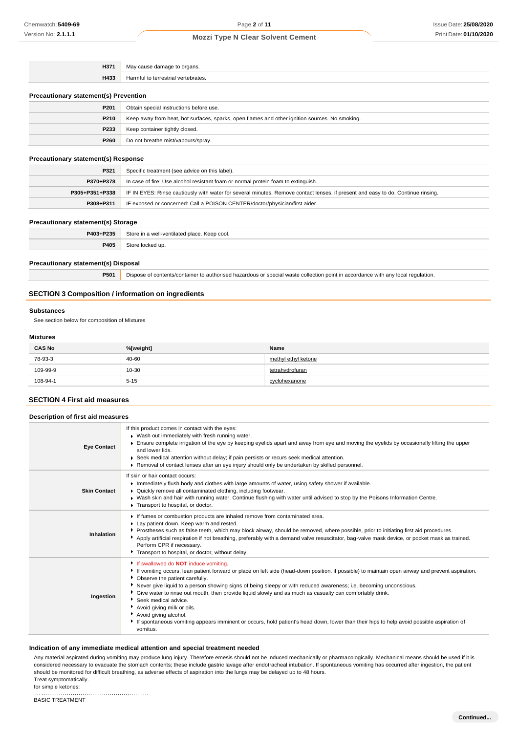| H371 | ouse damage to organs.            |
|------|-----------------------------------|
|      | "viav                             |
| H433 | larmful to terrestria<br>*ebrates |

### **Precautionary statement(s) Prevention**

| P201             | Obtain special instructions before use.                                                        |
|------------------|------------------------------------------------------------------------------------------------|
| P210             | Keep away from heat, hot surfaces, sparks, open flames and other ignition sources. No smoking. |
| P233             | Keep container tightly closed.                                                                 |
| P <sub>260</sub> | Do not breathe mist/vapours/spray.                                                             |

## **Precautionary statement(s) Response**

| P321           | Specific treatment (see advice on this label).                                                                                   |  |
|----------------|----------------------------------------------------------------------------------------------------------------------------------|--|
| P370+P378      | In case of fire: Use alcohol resistant foam or normal protein foam to extinguish.                                                |  |
| P305+P351+P338 | IF IN EYES: Rinse cautiously with water for several minutes. Remove contact lenses, if present and easy to do. Continue rinsing. |  |
| P308+P311      | IF exposed or concerned: Call a POISON CENTER/doctor/physician/first aider.                                                      |  |

### **Precautionary statement(s) Storage**

| P403+P235 | Store in a well-ventilated place. Keep cool. |
|-----------|----------------------------------------------|
| P405      | Store locked up.                             |

### **Precautionary statement(s) Disposal**

**P501** Dispose of contents/container to authorised hazardous or special waste collection point in accordance with any local regulation.

## **SECTION 3 Composition / information on ingredients**

### **Substances**

See section below for composition of Mixtures

## **Mixtures**

| <b>CAS No</b> | %[weight] | Name                |
|---------------|-----------|---------------------|
| 78-93-3       | 40-60     | methyl ethyl ketone |
| 109-99-9      | 10-30     | tetrahydrofuran     |
| 108-94-1      | $5 - 15$  | cyclohexanone       |

## **SECTION 4 First aid measures**

| Description of first aid measures |                                                                                                                                                                                                                                                                                                                                                                                                                                                                                                                                                                                                                                                                                                                            |
|-----------------------------------|----------------------------------------------------------------------------------------------------------------------------------------------------------------------------------------------------------------------------------------------------------------------------------------------------------------------------------------------------------------------------------------------------------------------------------------------------------------------------------------------------------------------------------------------------------------------------------------------------------------------------------------------------------------------------------------------------------------------------|
| <b>Eye Contact</b>                | If this product comes in contact with the eyes:<br>▶ Wash out immediately with fresh running water.<br>Ensure complete irrigation of the eye by keeping eyelids apart and away from eye and moving the eyelids by occasionally lifting the upper<br>and lower lids.<br>▶ Seek medical attention without delay; if pain persists or recurs seek medical attention.<br>► Removal of contact lenses after an eye injury should only be undertaken by skilled personnel.                                                                                                                                                                                                                                                       |
| <b>Skin Contact</b>               | If skin or hair contact occurs:<br>Immediately flush body and clothes with large amounts of water, using safety shower if available.<br>▶ Quickly remove all contaminated clothing, including footwear.<br>▶ Wash skin and hair with running water. Continue flushing with water until advised to stop by the Poisons Information Centre.<br>Transport to hospital, or doctor.                                                                                                                                                                                                                                                                                                                                             |
| Inhalation                        | If fumes or combustion products are inhaled remove from contaminated area.<br>Lay patient down. Keep warm and rested.<br>Prostheses such as false teeth, which may block airway, should be removed, where possible, prior to initiating first aid procedures.<br>Apply artificial respiration if not breathing, preferably with a demand valve resuscitator, bag-valve mask device, or pocket mask as trained.<br>Perform CPR if necessary.<br>Transport to hospital, or doctor, without delay.                                                                                                                                                                                                                            |
| Ingestion                         | <sup>1</sup> If swallowed do <b>NOT</b> induce vomiting.<br>If vomiting occurs, lean patient forward or place on left side (head-down position, if possible) to maintain open airway and prevent aspiration.<br>• Observe the patient carefully.<br>Never give liquid to a person showing signs of being sleepy or with reduced awareness; i.e. becoming unconscious.<br>• Give water to rinse out mouth, then provide liquid slowly and as much as casualty can comfortably drink.<br>Seek medical advice.<br>Avoid giving milk or oils.<br>Avoid giving alcohol.<br>If spontaneous vomiting appears imminent or occurs, hold patient's head down, lower than their hips to help avoid possible aspiration of<br>vomitus. |

### **Indication of any immediate medical attention and special treatment needed**

Any material aspirated during vomiting may produce lung injury. Therefore emesis should not be induced mechanically or pharmacologically. Mechanical means should be used if it is considered necessary to evacuate the stomach contents; these include gastric lavage after endotracheal intubation. If spontaneous vomiting has occurred after ingestion, the patient should be monitored for difficult breathing, as adverse effects of aspiration into the lungs may be delayed up to 48 hours. Treat symptomatically.

for simple ketones: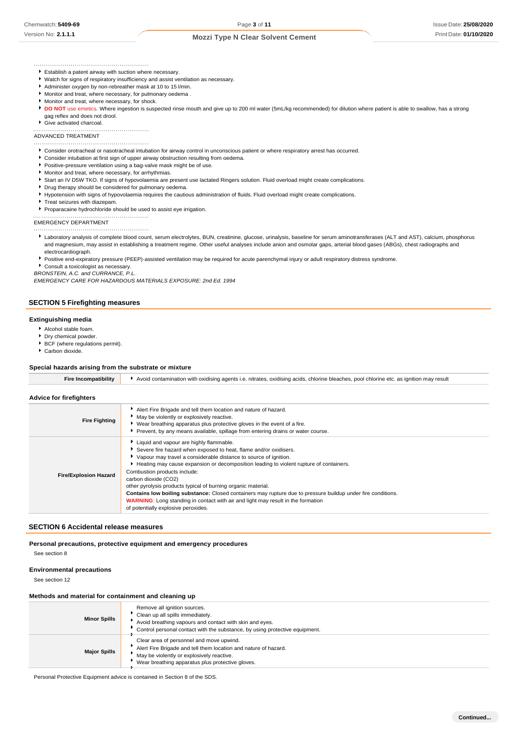**Continued...**

Establish a patent airway with suction where necessary.

- Watch for signs of respiratory insufficiency and assist ventilation as necessary.
- 
- Administer oxygen by non-rebreather mask at 10 to 15 l/min. Monitor and treat, where necessary, for pulmonary oedema .
- Monitor and treat, where necessary, for shock.
- 
- ▶ DO NOT use emetics. Where ingestion is suspected rinse mouth and give up to 200 ml water (5mL/kg recommended) for dilution where patient is able to swallow, has a strong gag reflex and does not drool.
- Give activated charcoal.

ADVANCED TREATMENT

- Consider orotracheal or nasotracheal intubation for airway control in unconscious patient or where respiratory arrest has occurred.
- Consider intubation at first sign of upper airway obstruction resulting from oedema.
- **Positive-pressure ventilation using a bag-valve mask might be of use.**
- Monitor and treat, where necessary, for arrhythmias.
- Start an IV D5W TKO. If signs of hypovolaemia are present use lactated Ringers solution. Fluid overload might create complications.
- Drug therapy should be considered for pulmonary oedema.
- Hypotension with signs of hypovolaemia requires the cautious administration of fluids. Fluid overload might create complications.
- Treat seizures with diazepam.

Proparacaine hydrochloride should be used to assist eye irrigation.

EMERGENCY DEPARTMENT

Laboratory analysis of complete blood count, serum electrolytes, BUN, creatinine, glucose, urinalysis, baseline for serum aminotransferases (ALT and AST), calcium, phosphorus and magnesium, may assist in establishing a treatment regime. Other useful analyses include anion and osmolar gaps, arterial blood gases (ABGs), chest radiographs and electrocardiograph.

Positive end-expiratory pressure (PEEP)-assisted ventilation may be required for acute parenchymal injury or adult respiratory distress syndrome.

Consult a toxicologist as necessary.

*BRONSTEIN, A.C. and CURRANCE, P.L.*

**SECTION 5 Firefighting measures**

*EMERGENCY CARE FOR HAZARDOUS MATERIALS EXPOSURE: 2nd Ed. 1994*

# **Extinguishing media**

- Alcohol stable foam.
- **P** Dry chemical powder.
- BCF (where regulations permit). Carbon dioxide.

# **Special hazards arising from the substrate or mixture**

| Fire Incompatibility         | Avoid contamination with oxidising agents i.e. nitrates, oxidising acids, chlorine bleaches, pool chlorine etc. as ignition may result                                                                                                                                                                                                                                                                                                                                                                                                                                                                                                                 |  |  |
|------------------------------|--------------------------------------------------------------------------------------------------------------------------------------------------------------------------------------------------------------------------------------------------------------------------------------------------------------------------------------------------------------------------------------------------------------------------------------------------------------------------------------------------------------------------------------------------------------------------------------------------------------------------------------------------------|--|--|
| Advice for firefighters      |                                                                                                                                                                                                                                                                                                                                                                                                                                                                                                                                                                                                                                                        |  |  |
| <b>Fire Fighting</b>         | Alert Fire Brigade and tell them location and nature of hazard.<br>May be violently or explosively reactive.<br>▶ Wear breathing apparatus plus protective gloves in the event of a fire.<br>Prevent, by any means available, spillage from entering drains or water course.                                                                                                                                                                                                                                                                                                                                                                           |  |  |
| <b>Fire/Explosion Hazard</b> | Liquid and vapour are highly flammable.<br>Severe fire hazard when exposed to heat, flame and/or oxidisers.<br>▶ Vapour may travel a considerable distance to source of ignition.<br>Heating may cause expansion or decomposition leading to violent rupture of containers.<br>Combustion products include:<br>carbon dioxide (CO2)<br>other pyrolysis products typical of burning organic material.<br>Contains low boiling substance: Closed containers may rupture due to pressure buildup under fire conditions.<br><b>WARNING:</b> Long standing in contact with air and light may result in the formation<br>of potentially explosive peroxides. |  |  |

### **SECTION 6 Accidental release measures**

#### **Personal precautions, protective equipment and emergency procedures**

See section 8

## **Environmental precautions**

See section 12

### **Methods and material for containment and cleaning up**

| <b>Minor Spills</b> | Remove all ignition sources.<br>Clean up all spills immediately.<br>Avoid breathing vapours and contact with skin and eyes.<br>Control personal contact with the substance, by using protective equipment.   |
|---------------------|--------------------------------------------------------------------------------------------------------------------------------------------------------------------------------------------------------------|
| <b>Major Spills</b> | Clear area of personnel and move upwind.<br>Alert Fire Brigade and tell them location and nature of hazard.<br>May be violently or explosively reactive.<br>Wear breathing apparatus plus protective gloves. |

Personal Protective Equipment advice is contained in Section 8 of the SDS.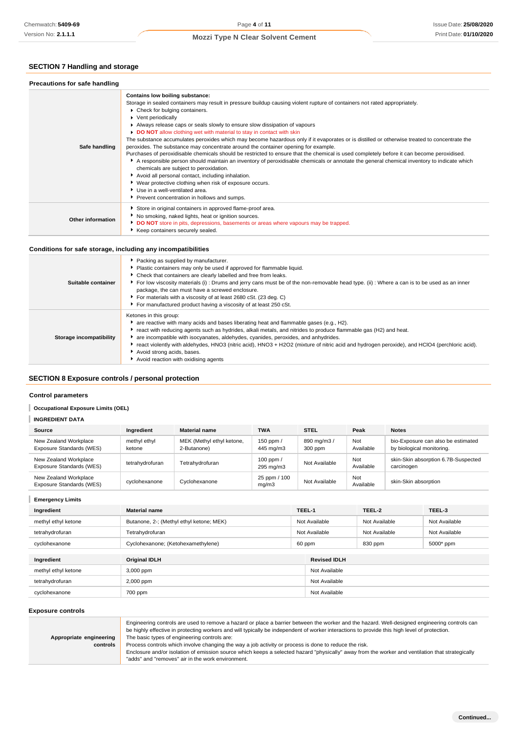# **SECTION 7 Handling and storage**

| Precautions for safe handling |                                                                                                                                                                                                                                                                                                                                                                                                                                                                                                                                                                                                                                                                                                                                                                                                                                                                                                                                                                                                                                                                                                                                                         |
|-------------------------------|---------------------------------------------------------------------------------------------------------------------------------------------------------------------------------------------------------------------------------------------------------------------------------------------------------------------------------------------------------------------------------------------------------------------------------------------------------------------------------------------------------------------------------------------------------------------------------------------------------------------------------------------------------------------------------------------------------------------------------------------------------------------------------------------------------------------------------------------------------------------------------------------------------------------------------------------------------------------------------------------------------------------------------------------------------------------------------------------------------------------------------------------------------|
| Safe handling                 | Contains low boiling substance:<br>Storage in sealed containers may result in pressure buildup causing violent rupture of containers not rated appropriately.<br>Check for bulging containers.<br>▶ Vent periodically<br>Always release caps or seals slowly to ensure slow dissipation of vapours<br>DO NOT allow clothing wet with material to stay in contact with skin<br>The substance accumulates peroxides which may become hazardous only if it evaporates or is distilled or otherwise treated to concentrate the<br>peroxides. The substance may concentrate around the container opening for example.<br>Purchases of peroxidisable chemicals should be restricted to ensure that the chemical is used completely before it can become peroxidised.<br>A responsible person should maintain an inventory of peroxidisable chemicals or annotate the general chemical inventory to indicate which<br>chemicals are subject to peroxidation.<br>Avoid all personal contact, including inhalation.<br>Wear protective clothing when risk of exposure occurs.<br>▶ Use in a well-ventilated area.<br>Prevent concentration in hollows and sumps. |
| Other information             | Store in original containers in approved flame-proof area.<br>No smoking, naked lights, heat or ignition sources.<br>DO NOT store in pits, depressions, basements or areas where vapours may be trapped.<br>Keep containers securely sealed.                                                                                                                                                                                                                                                                                                                                                                                                                                                                                                                                                                                                                                                                                                                                                                                                                                                                                                            |

## **Conditions for safe storage, including any incompatibilities**

| Suitable container      | Packing as supplied by manufacturer.<br>Plastic containers may only be used if approved for flammable liquid.<br>Check that containers are clearly labelled and free from leaks.<br>▶ For low viscosity materials (i) : Drums and jerry cans must be of the non-removable head type. (ii) : Where a can is to be used as an inner<br>package, the can must have a screwed enclosure.<br>For materials with a viscosity of at least 2680 cSt. (23 deg. C)<br>For manufactured product having a viscosity of at least 250 cSt.                                   |
|-------------------------|----------------------------------------------------------------------------------------------------------------------------------------------------------------------------------------------------------------------------------------------------------------------------------------------------------------------------------------------------------------------------------------------------------------------------------------------------------------------------------------------------------------------------------------------------------------|
| Storage incompatibility | Ketones in this group:<br>$\bullet$ are reactive with many acids and bases liberating heat and flammable gases (e.g., H2).<br>▶ react with reducing agents such as hydrides, alkali metals, and nitrides to produce flammable gas (H2) and heat.<br>are incompatible with isocyanates, aldehydes, cyanides, peroxides, and anhydrides.<br>► react violently with aldehydes, HNO3 (nitric acid), HNO3 + H2O2 (mixture of nitric acid and hydrogen peroxide), and HClO4 (perchloric acid).<br>Avoid strong acids, bases.<br>Avoid reaction with oxidising agents |

# **SECTION 8 Exposure controls / personal protection**

## **Control parameters**

**Occupational Exposure Limits (OEL)** 

# **INGREDIENT DATA**

| Source                                            | Ingredient             | <b>Material name</b>                     | <b>TWA</b>               | <b>STEL</b>            | Peak             | <b>Notes</b>                                                    |
|---------------------------------------------------|------------------------|------------------------------------------|--------------------------|------------------------|------------------|-----------------------------------------------------------------|
| New Zealand Workplace<br>Exposure Standards (WES) | methyl ethyl<br>ketone | MEK (Methyl ethyl ketone,<br>2-Butanone) | 150 ppm /<br>445 mg/m3   | 890 mg/m3 /<br>300 ppm | Not<br>Available | bio-Exposure can also be estimated<br>by biological monitoring. |
| New Zealand Workplace<br>Exposure Standards (WES) | tetrahydrofuran        | Tetrahvdrofuran                          | 100 ppm $/$<br>295 mg/m3 | Not Available          | Not<br>Available | skin-Skin absorption 6.7B-Suspected<br>carcinogen               |
| New Zealand Workplace<br>Exposure Standards (WES) | cyclohexanone          | Cyclohexanone                            | 25 ppm / 100<br>mq/m3    | Not Available          | Not<br>Available | skin-Skin absorption                                            |

**Emergency Limits**

| Ingredient          | <b>Material name</b>                     |  | TEEL-1              | TEEL-2        | TEEL-3        |
|---------------------|------------------------------------------|--|---------------------|---------------|---------------|
| methyl ethyl ketone | Butanone, 2-; (Methyl ethyl ketone; MEK) |  | Not Available       | Not Available | Not Available |
| tetrahydrofuran     | Tetrahydrofuran                          |  | Not Available       | Not Available | Not Available |
| cyclohexanone       | Cyclohexanone; (Ketohexamethylene)       |  | 60 ppm              | 830 ppm       | 5000* ppm     |
|                     |                                          |  |                     |               |               |
| Ingredient          | <b>Original IDLH</b>                     |  | <b>Revised IDLH</b> |               |               |
| methyl ethyl ketone | 3,000 ppm                                |  | Not Available       |               |               |
| tetrahydrofuran     | 2,000 ppm                                |  | Not Available       |               |               |
| cyclohexanone       | 700 ppm                                  |  | Not Available       |               |               |

### **Exposure controls**

|                         | Engineering controls are used to remove a hazard or place a barrier between the worker and the hazard. Well-designed engineering controls can<br>be highly effective in protecting workers and will typically be independent of worker interactions to provide this high level of protection. |
|-------------------------|-----------------------------------------------------------------------------------------------------------------------------------------------------------------------------------------------------------------------------------------------------------------------------------------------|
| Appropriate engineering | The basic types of engineering controls are:                                                                                                                                                                                                                                                  |
| controls                | Process controls which involve changing the way a job activity or process is done to reduce the risk.                                                                                                                                                                                         |
|                         | Enclosure and/or isolation of emission source which keeps a selected hazard "physically" away from the worker and ventilation that strategically                                                                                                                                              |
|                         | "adds" and "removes" air in the work environment.                                                                                                                                                                                                                                             |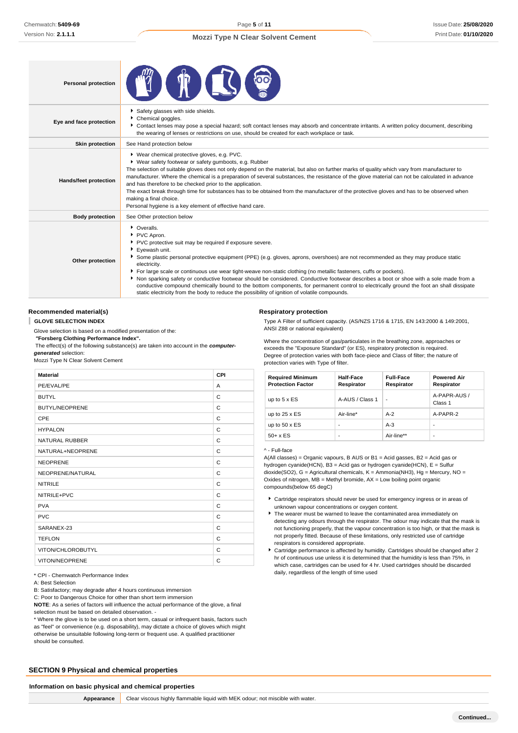| <b>Personal protection</b>   |                                                                                                                                                                                                                                                                                                                                                                                                                                                                                                                                                                                                                                                                                                                                                                     |  |  |
|------------------------------|---------------------------------------------------------------------------------------------------------------------------------------------------------------------------------------------------------------------------------------------------------------------------------------------------------------------------------------------------------------------------------------------------------------------------------------------------------------------------------------------------------------------------------------------------------------------------------------------------------------------------------------------------------------------------------------------------------------------------------------------------------------------|--|--|
| Eye and face protection      | Safety glasses with side shields.<br>Chemical goggles.<br>▶ Contact lenses may pose a special hazard; soft contact lenses may absorb and concentrate irritants. A written policy document, describing<br>the wearing of lenses or restrictions on use, should be created for each workplace or task.                                                                                                                                                                                                                                                                                                                                                                                                                                                                |  |  |
| <b>Skin protection</b>       | See Hand protection below                                                                                                                                                                                                                                                                                                                                                                                                                                                                                                                                                                                                                                                                                                                                           |  |  |
| <b>Hands/feet protection</b> | ▶ Wear chemical protective gloves, e.g. PVC.<br>▶ Wear safety footwear or safety gumboots, e.g. Rubber<br>The selection of suitable gloves does not only depend on the material, but also on further marks of quality which vary from manufacturer to<br>manufacturer. Where the chemical is a preparation of several substances, the resistance of the glove material can not be calculated in advance<br>and has therefore to be checked prior to the application.<br>The exact break through time for substances has to be obtained from the manufacturer of the protective gloves and has to be observed when<br>making a final choice.<br>Personal hygiene is a key element of effective hand care.                                                            |  |  |
| <b>Body protection</b>       | See Other protection below                                                                                                                                                                                                                                                                                                                                                                                                                                                                                                                                                                                                                                                                                                                                          |  |  |
| Other protection             | • Overalls.<br>PVC Apron.<br>PVC protective suit may be required if exposure severe.<br>Evewash unit.<br>Some plastic personal protective equipment (PPE) (e.g. gloves, aprons, overshoes) are not recommended as they may produce static<br>electricity.<br>For large scale or continuous use wear tight-weave non-static clothing (no metallic fasteners, cuffs or pockets).<br>Non sparking safety or conductive footwear should be considered. Conductive footwear describes a boot or shoe with a sole made from a<br>conductive compound chemically bound to the bottom components, for permanent control to electrically ground the foot an shall dissipate<br>static electricity from the body to reduce the possibility of ignition of volatile compounds. |  |  |

### **Recommended material(s)**

I **GLOVE SELECTION INDEX**

Glove selection is based on a modified presentation of the:

*"***Forsberg Clothing Performance Index".**

The effect(s) of the following substance(s) are taken into account in the *computergenerated* selection:

Mozzi Type N Clear Solvent Cement

| <b>Material</b>       | CPI |
|-----------------------|-----|
| PE/EVAL/PE            | A   |
| <b>BUTYL</b>          | C   |
| <b>BUTYL/NEOPRENE</b> | C   |
| CPE                   | C   |
| <b>HYPALON</b>        | C   |
| <b>NATURAL RUBBER</b> | C   |
| NATURAL+NEOPRENE      | C   |
| <b>NEOPRENE</b>       | C   |
| NEOPRENE/NATURAL      | C   |
| <b>NITRILE</b>        | C   |
| NITRILE+PVC           | C   |
| <b>PVA</b>            | C   |
| <b>PVC</b>            | C   |
| SARANEX-23            | C   |
| <b>TEFLON</b>         | C   |
| VITON/CHLOROBUTYL     | C   |
| <b>VITON/NEOPRENE</b> | C   |

\* CPI - Chemwatch Performance Index

A: Best Selection

B: Satisfactory; may degrade after 4 hours continuous immersion

C: Poor to Dangerous Choice for other than short term immersion

**NOTE**: As a series of factors will influence the actual performance of the glove, a final selection must be based on detailed observation. -

\* Where the glove is to be used on a short term, casual or infrequent basis, factors such as "feel" or convenience (e.g. disposability), may dictate a choice of gloves which might otherwise be unsuitable following long-term or frequent use. A qualified practitioner should be consulted.

## **SECTION 9 Physical and chemical properties**

#### **Information on basic physical and chemical properties**

**Appearance** Clear viscous highly flammable liquid with MEK odour; not miscible with water.

**Respiratory protection**

Type A Filter of sufficient capacity. (AS/NZS 1716 & 1715, EN 143:2000 & 149:2001, ANSI Z88 or national equivalent)

Where the concentration of gas/particulates in the breathing zone, approaches or exceeds the "Exposure Standard" (or ES), respiratory protection is required. Degree of protection varies with both face-piece and Class of filter; the nature of protection varies with Type of filter.

| <b>Required Minimum</b><br><b>Protection Factor</b> | Half-Face<br>Respirator  | <b>Full-Face</b><br>Respirator | <b>Powered Air</b><br>Respirator |
|-----------------------------------------------------|--------------------------|--------------------------------|----------------------------------|
| up to $5 \times ES$                                 | A-AUS / Class 1          | $\overline{\phantom{a}}$       | A-PAPR-AUS /<br>Class 1          |
| up to $25 \times ES$                                | Air-line*                | $A-2$                          | A-PAPR-2                         |
| up to $50 \times ES$                                | $\overline{\phantom{a}}$ | $A-3$                          | -                                |
| $50+ x ES$                                          | $\overline{\phantom{a}}$ | Air-line**                     | ٠                                |

#### ^ - Full-face

A(All classes) = Organic vapours, B AUS or  $B1$  = Acid gasses,  $B2$  = Acid gas or hydrogen cyanide(HCN), B3 = Acid gas or hydrogen cyanide(HCN), E = Sulfur dioxide(SO2), G = Agricultural chemicals, K = Ammonia(NH3), Hg = Mercury, NO = Oxides of nitrogen,  $MB =$  Methyl bromide,  $AX =$  Low boiling point organic compounds(below 65 degC)

- Cartridge respirators should never be used for emergency ingress or in areas of unknown vapour concentrations or oxygen content.
- The wearer must be warned to leave the contaminated area immediately on detecting any odours through the respirator. The odour may indicate that the mask is not functioning properly, that the vapour concentration is too high, or that the mask is not properly fitted. Because of these limitations, only restricted use of cartridge respirators is considered appropriate.
- Cartridge performance is affected by humidity. Cartridges should be changed after 2 hr of continuous use unless it is determined that the humidity is less than 75%, in which case, cartridges can be used for 4 hr. Used cartridges should be discarded daily, regardless of the length of time used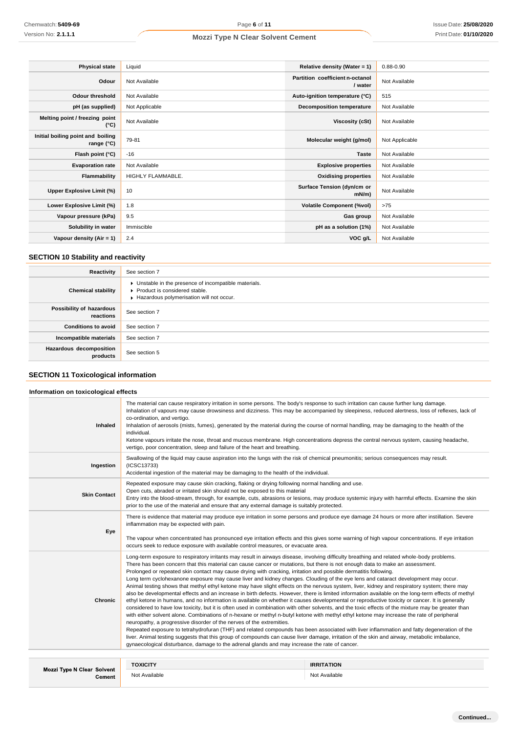| <b>Physical state</b>                                    | Liquid            | Relative density (Water = $1$ )            | $0.88 - 0.90$  |
|----------------------------------------------------------|-------------------|--------------------------------------------|----------------|
| Odour                                                    | Not Available     | Partition coefficient n-octanol<br>/ water | Not Available  |
| <b>Odour threshold</b>                                   | Not Available     | Auto-ignition temperature (°C)             | 515            |
| pH (as supplied)                                         | Not Applicable    | <b>Decomposition temperature</b>           | Not Available  |
| Melting point / freezing point<br>(°C)                   | Not Available     | Viscosity (cSt)                            | Not Available  |
| Initial boiling point and boiling<br>range $(^{\circ}C)$ | 79-81             | Molecular weight (g/mol)                   | Not Applicable |
| Flash point (°C)                                         | $-16$             | <b>Taste</b>                               | Not Available  |
| <b>Evaporation rate</b>                                  | Not Available     | <b>Explosive properties</b>                | Not Available  |
| Flammability                                             | HIGHLY FLAMMABLE. | <b>Oxidising properties</b>                | Not Available  |
| Upper Explosive Limit (%)                                | 10                | Surface Tension (dyn/cm or<br>$mN/m$ )     | Not Available  |
| Lower Explosive Limit (%)                                | 1.8               | <b>Volatile Component (%vol)</b>           | >75            |
| Vapour pressure (kPa)                                    | 9.5               | Gas group                                  | Not Available  |
| Solubility in water                                      | Immiscible        | pH as a solution (1%)                      | Not Available  |
| Vapour density (Air = 1)                                 | 2.4               | VOC g/L                                    | Not Available  |

# **SECTION 10 Stability and reactivity**

| Reactivity                            | See section 7                                                                                                                      |
|---------------------------------------|------------------------------------------------------------------------------------------------------------------------------------|
| <b>Chemical stability</b>             | • Unstable in the presence of incompatible materials.<br>Product is considered stable.<br>Hazardous polymerisation will not occur. |
| Possibility of hazardous<br>reactions | See section 7                                                                                                                      |
| <b>Conditions to avoid</b>            | See section 7                                                                                                                      |
| Incompatible materials                | See section 7                                                                                                                      |
| Hazardous decomposition<br>products   | See section 5                                                                                                                      |

# **SECTION 11 Toxicological information**

# **Information on toxicological effects**

| Inhaled                                     | The material can cause respiratory irritation in some persons. The body's response to such irritation can cause further lung damage.<br>Inhalation of vapours may cause drowsiness and dizziness. This may be accompanied by sleepiness, reduced alertness, loss of reflexes, lack of<br>co-ordination, and vertigo.<br>Inhalation of aerosols (mists, fumes), generated by the material during the course of normal handling, may be damaging to the health of the<br>individual.<br>Ketone vapours irritate the nose, throat and mucous membrane. High concentrations depress the central nervous system, causing headache,<br>vertigo, poor concentration, sleep and failure of the heart and breathing.                                                                                                                                                                                                                                                                                                                                                                                                                                                                                                                                                                                                                                                                                                                                                                                                                                                                                                                                                                                                                                                          |                                                                                                                                                                                                                                                                                                                                                                                                                                    |  |  |
|---------------------------------------------|----------------------------------------------------------------------------------------------------------------------------------------------------------------------------------------------------------------------------------------------------------------------------------------------------------------------------------------------------------------------------------------------------------------------------------------------------------------------------------------------------------------------------------------------------------------------------------------------------------------------------------------------------------------------------------------------------------------------------------------------------------------------------------------------------------------------------------------------------------------------------------------------------------------------------------------------------------------------------------------------------------------------------------------------------------------------------------------------------------------------------------------------------------------------------------------------------------------------------------------------------------------------------------------------------------------------------------------------------------------------------------------------------------------------------------------------------------------------------------------------------------------------------------------------------------------------------------------------------------------------------------------------------------------------------------------------------------------------------------------------------------------------|------------------------------------------------------------------------------------------------------------------------------------------------------------------------------------------------------------------------------------------------------------------------------------------------------------------------------------------------------------------------------------------------------------------------------------|--|--|
| Ingestion                                   | (ICSC13733)                                                                                                                                                                                                                                                                                                                                                                                                                                                                                                                                                                                                                                                                                                                                                                                                                                                                                                                                                                                                                                                                                                                                                                                                                                                                                                                                                                                                                                                                                                                                                                                                                                                                                                                                                          | Swallowing of the liquid may cause aspiration into the lungs with the risk of chemical pneumonitis; serious consequences may result.<br>Accidental ingestion of the material may be damaging to the health of the individual.                                                                                                                                                                                                      |  |  |
| <b>Skin Contact</b>                         |                                                                                                                                                                                                                                                                                                                                                                                                                                                                                                                                                                                                                                                                                                                                                                                                                                                                                                                                                                                                                                                                                                                                                                                                                                                                                                                                                                                                                                                                                                                                                                                                                                                                                                                                                                      | Repeated exposure may cause skin cracking, flaking or drying following normal handling and use.<br>Open cuts, abraded or irritated skin should not be exposed to this material<br>Entry into the blood-stream, through, for example, cuts, abrasions or lesions, may produce systemic injury with harmful effects. Examine the skin<br>prior to the use of the material and ensure that any external damage is suitably protected. |  |  |
| Eye                                         | There is evidence that material may produce eye irritation in some persons and produce eye damage 24 hours or more after instillation. Severe<br>inflammation may be expected with pain.<br>The vapour when concentrated has pronounced eye irritation effects and this gives some warning of high vapour concentrations. If eye irritation<br>occurs seek to reduce exposure with available control measures, or evacuate area.                                                                                                                                                                                                                                                                                                                                                                                                                                                                                                                                                                                                                                                                                                                                                                                                                                                                                                                                                                                                                                                                                                                                                                                                                                                                                                                                     |                                                                                                                                                                                                                                                                                                                                                                                                                                    |  |  |
| <b>Chronic</b>                              | Long-term exposure to respiratory irritants may result in airways disease, involving difficulty breathing and related whole-body problems.<br>There has been concern that this material can cause cancer or mutations, but there is not enough data to make an assessment.<br>Prolonged or repeated skin contact may cause drying with cracking, irritation and possible dermatitis following.<br>Long term cyclohexanone exposure may cause liver and kidney changes. Clouding of the eye lens and cataract development may occur.<br>Animal testing shows that methyl ethyl ketone may have slight effects on the nervous system, liver, kidney and respiratory system; there may<br>also be developmental effects and an increase in birth defects. However, there is limited information available on the long-term effects of methyl<br>ethyl ketone in humans, and no information is available on whether it causes developmental or reproductive toxicity or cancer. It is generally<br>considered to have low toxicity, but it is often used in combination with other solvents, and the toxic effects of the mixture may be greater than<br>with either solvent alone. Combinations of n-hexane or methyl n-butyl ketone with methyl ethyl ketone may increase the rate of peripheral<br>neuropathy, a progressive disorder of the nerves of the extremities.<br>Repeated exposure to tetrahydrofuran (THF) and related compounds has been associated with liver inflammation and fatty degeneration of the<br>liver. Animal testing suggests that this group of compounds can cause liver damage, irritation of the skin and airway, metabolic imbalance,<br>gynaecological disturbance, damage to the adrenal glands and may increase the rate of cancer. |                                                                                                                                                                                                                                                                                                                                                                                                                                    |  |  |
|                                             | <b>TOXICITY</b>                                                                                                                                                                                                                                                                                                                                                                                                                                                                                                                                                                                                                                                                                                                                                                                                                                                                                                                                                                                                                                                                                                                                                                                                                                                                                                                                                                                                                                                                                                                                                                                                                                                                                                                                                      | <b>IRRITATION</b>                                                                                                                                                                                                                                                                                                                                                                                                                  |  |  |
| <b>Mozzi Type N Clear Solvent</b><br>Cement | Not Available                                                                                                                                                                                                                                                                                                                                                                                                                                                                                                                                                                                                                                                                                                                                                                                                                                                                                                                                                                                                                                                                                                                                                                                                                                                                                                                                                                                                                                                                                                                                                                                                                                                                                                                                                        | Not Available                                                                                                                                                                                                                                                                                                                                                                                                                      |  |  |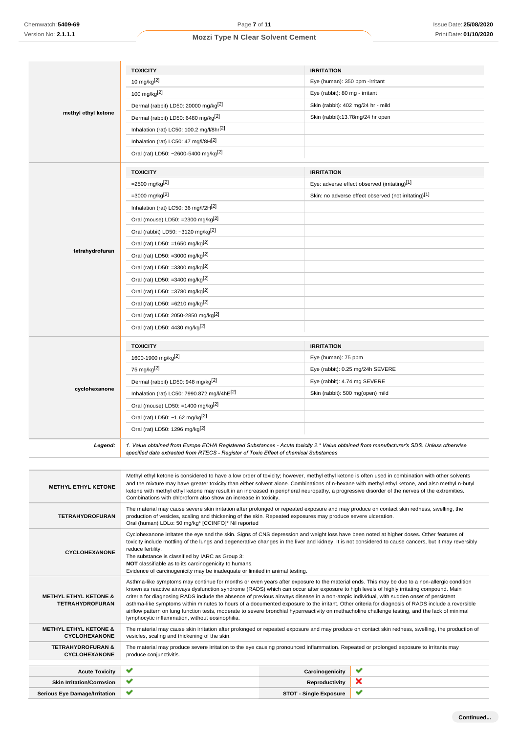|                                                          | <b>TOXICITY</b>                                                                                                                                                                                                                                                                                                   | <b>IRRITATION</b>              |                                                                                                                                                  |
|----------------------------------------------------------|-------------------------------------------------------------------------------------------------------------------------------------------------------------------------------------------------------------------------------------------------------------------------------------------------------------------|--------------------------------|--------------------------------------------------------------------------------------------------------------------------------------------------|
|                                                          | 10 mg/kg <sup>[2]</sup>                                                                                                                                                                                                                                                                                           | Eye (human): 350 ppm -irritant |                                                                                                                                                  |
|                                                          | 100 mg/kg $^{[2]}$                                                                                                                                                                                                                                                                                                | Eye (rabbit): 80 mg - irritant |                                                                                                                                                  |
| methyl ethyl ketone                                      | Dermal (rabbit) LD50: 20000 mg/kgl <sup>2]</sup>                                                                                                                                                                                                                                                                  |                                | Skin (rabbit): 402 mg/24 hr - mild                                                                                                               |
|                                                          | Dermal (rabbit) LD50: 6480 mg/kg <sup>[2]</sup>                                                                                                                                                                                                                                                                   |                                | Skin (rabbit):13.78mg/24 hr open                                                                                                                 |
|                                                          | Inhalation (rat) LC50: 100.2 mg/l/8hr <sup>[2]</sup>                                                                                                                                                                                                                                                              |                                |                                                                                                                                                  |
|                                                          | Inhalation (rat) LC50: 47 mg/l/8H[2]                                                                                                                                                                                                                                                                              |                                |                                                                                                                                                  |
|                                                          | Oral (rat) LD50: ~2600-5400 mg/kg <sup>[2]</sup>                                                                                                                                                                                                                                                                  |                                |                                                                                                                                                  |
|                                                          | <b>TOXICITY</b>                                                                                                                                                                                                                                                                                                   | <b>IRRITATION</b>              |                                                                                                                                                  |
|                                                          | $=$ 2500 mg/kg <sup>[2]</sup>                                                                                                                                                                                                                                                                                     |                                | Eye: adverse effect observed (irritating)[1]                                                                                                     |
|                                                          | $=3000$ mg/kg <sup>[2]</sup>                                                                                                                                                                                                                                                                                      |                                | Skin: no adverse effect observed (not irritating)[1]                                                                                             |
|                                                          | Inhalation (rat) LC50: 36 mg/l/2H <sup>[2]</sup>                                                                                                                                                                                                                                                                  |                                |                                                                                                                                                  |
|                                                          | Oral (mouse) LD50: =2300 mg/kg <sup>[2]</sup>                                                                                                                                                                                                                                                                     |                                |                                                                                                                                                  |
|                                                          | Oral (rabbit) LD50: ~3120 mg/kg[2]                                                                                                                                                                                                                                                                                |                                |                                                                                                                                                  |
|                                                          | Oral (rat) LD50: =1650 mg/kg <sup>[2]</sup>                                                                                                                                                                                                                                                                       |                                |                                                                                                                                                  |
| tetrahydrofuran                                          | Oral (rat) LD50: =3000 mg/kg <sup>[2]</sup>                                                                                                                                                                                                                                                                       |                                |                                                                                                                                                  |
|                                                          | Oral (rat) LD50: =3300 mg/kg <sup>[2]</sup>                                                                                                                                                                                                                                                                       |                                |                                                                                                                                                  |
|                                                          | Oral (rat) LD50: =3400 mg/kg <sup>[2]</sup>                                                                                                                                                                                                                                                                       |                                |                                                                                                                                                  |
|                                                          | Oral (rat) LD50: =3780 mg/kg <sup>[2]</sup>                                                                                                                                                                                                                                                                       |                                |                                                                                                                                                  |
|                                                          | Oral (rat) LD50: =6210 mg/kg <sup>[2]</sup>                                                                                                                                                                                                                                                                       |                                |                                                                                                                                                  |
|                                                          | Oral (rat) LD50: 2050-2850 mg/kg <sup>[2]</sup>                                                                                                                                                                                                                                                                   |                                |                                                                                                                                                  |
|                                                          | Oral (rat) LD50: 4430 mg/kg <sup>[2]</sup>                                                                                                                                                                                                                                                                        |                                |                                                                                                                                                  |
|                                                          |                                                                                                                                                                                                                                                                                                                   |                                |                                                                                                                                                  |
|                                                          | <b>TOXICITY</b>                                                                                                                                                                                                                                                                                                   | <b>IRRITATION</b>              |                                                                                                                                                  |
|                                                          | 1600-1900 mg/kg <sup>[2]</sup>                                                                                                                                                                                                                                                                                    | Eye (human): 75 ppm            |                                                                                                                                                  |
|                                                          | 75 mg/kg <sup>[2]</sup>                                                                                                                                                                                                                                                                                           |                                | Eye (rabbit): 0.25 mg/24h SEVERE                                                                                                                 |
|                                                          | Dermal (rabbit) LD50: 948 mg/kg <sup>[2]</sup>                                                                                                                                                                                                                                                                    | Eye (rabbit): 4.74 mg SEVERE   |                                                                                                                                                  |
| cyclohexanone                                            | Inhalation (rat) LC50: 7990.872 mg/l/4hE[2]                                                                                                                                                                                                                                                                       |                                | Skin (rabbit): 500 mg(open) mild                                                                                                                 |
|                                                          | Oral (mouse) LD50: =1400 mg/kg $^{[2]}$                                                                                                                                                                                                                                                                           |                                |                                                                                                                                                  |
|                                                          | Oral (rat) LD50: ~1.62 mg/kg[2]                                                                                                                                                                                                                                                                                   |                                |                                                                                                                                                  |
|                                                          | Oral (rat) LD50: 1296 mg/kg[2]                                                                                                                                                                                                                                                                                    |                                |                                                                                                                                                  |
| Legend:                                                  | 1. Value obtained from Europe ECHA Registered Substances - Acute toxicity 2.* Value obtained from manufacturer's SDS. Unless otherwise<br>specified data extracted from RTECS - Register of Toxic Effect of chemical Substances                                                                                   |                                |                                                                                                                                                  |
|                                                          |                                                                                                                                                                                                                                                                                                                   |                                |                                                                                                                                                  |
| <b>METHYL ETHYL KETONE</b>                               | Methyl ethyl ketone is considered to have a low order of toxicity; however, methyl ethyl ketone is often used in combination with other solvents<br>and the mixture may have greater toxicity than either solvent alone. Combinations of n-hexane with methyl ethyl ketone, and also methyl n-butyl               |                                |                                                                                                                                                  |
|                                                          | ketone with methyl ethyl ketone may result in an increased in peripheral neuropathy, a progressive disorder of the nerves of the extremities.<br>Combinations with chloroform also show an increase in toxicity.                                                                                                  |                                |                                                                                                                                                  |
| <b>TETRAHYDROFURAN</b>                                   | The material may cause severe skin irritation after prolonged or repeated exposure and may produce on contact skin redness, swelling, the<br>production of vesicles, scaling and thickening of the skin. Repeated exposures may produce severe ulceration.<br>Oral (human) LDLo: 50 mg/kg* [CCINFO]* Nil reported |                                |                                                                                                                                                  |
|                                                          | Cyclohexanone irritates the eye and the skin. Signs of CNS depression and weight loss have been noted at higher doses. Other features of<br>toxicity include mottling of the lungs and degenerative changes in the liver and kidney. It is not considered to cause cancers, but it may reversibly                 |                                |                                                                                                                                                  |
| <b>CYCLOHEXANONE</b>                                     | reduce fertility.                                                                                                                                                                                                                                                                                                 |                                |                                                                                                                                                  |
|                                                          | The substance is classified by IARC as Group 3:<br>NOT classifiable as to its carcinogenicity to humans.                                                                                                                                                                                                          |                                |                                                                                                                                                  |
|                                                          | Evidence of carcinogenicity may be inadequate or limited in animal testing.                                                                                                                                                                                                                                       |                                |                                                                                                                                                  |
|                                                          | Asthma-like symptoms may continue for months or even years after exposure to the material ends. This may be due to a non-allergic condition<br>known as reactive airways dysfunction syndrome (RADS) which can occur after exposure to high levels of highly irritating compound. Main                            |                                |                                                                                                                                                  |
| <b>METHYL ETHYL KETONE &amp;</b>                         | criteria for diagnosing RADS include the absence of previous airways disease in a non-atopic individual, with sudden onset of persistent<br>asthma-like symptoms within minutes to hours of a documented exposure to the irritant. Other criteria for diagnosis of RADS include a reversible                      |                                |                                                                                                                                                  |
| <b>TETRAHYDROFURAN</b>                                   | airflow pattern on lung function tests, moderate to severe bronchial hyperreactivity on methacholine challenge testing, and the lack of minimal<br>lymphocytic inflammation, without eosinophilia.                                                                                                                |                                |                                                                                                                                                  |
| <b>METHYL ETHYL KETONE &amp;</b><br><b>CYCLOHEXANONE</b> | vesicles, scaling and thickening of the skin.                                                                                                                                                                                                                                                                     |                                | The material may cause skin irritation after prolonged or repeated exposure and may produce on contact skin redness, swelling, the production of |
| <b>TETRAHYDROFURAN &amp;</b><br><b>CYCLOHEXANONE</b>     | The material may produce severe irritation to the eye causing pronounced inflammation. Repeated or prolonged exposure to irritants may<br>produce conjunctivitis.                                                                                                                                                 |                                |                                                                                                                                                  |
| <b>Acute Toxicity</b>                                    | ✔                                                                                                                                                                                                                                                                                                                 | Carcinogenicity                | ✔                                                                                                                                                |
| <b>Skin Irritation/Corrosion</b>                         | ✔                                                                                                                                                                                                                                                                                                                 | Reproductivity                 | ×                                                                                                                                                |
| <b>Serious Eye Damage/Irritation</b>                     | ✔                                                                                                                                                                                                                                                                                                                 | <b>STOT - Single Exposure</b>  | ✔                                                                                                                                                |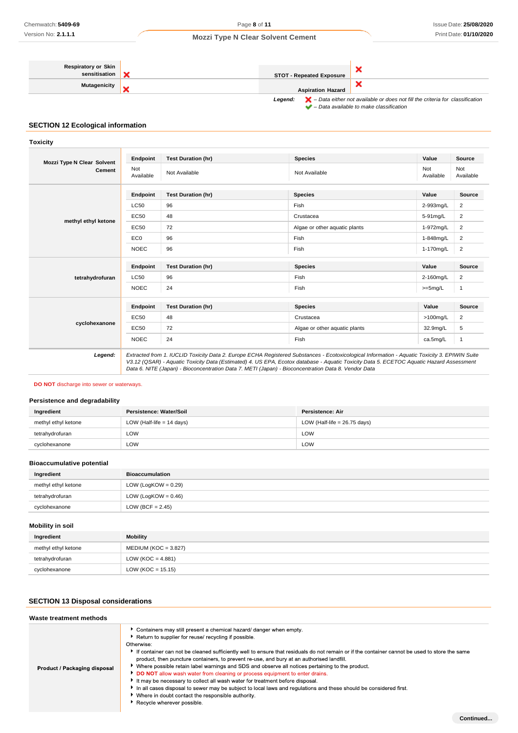| <b>Respiratory or Skin</b> |                                 |                                                                                                    |
|----------------------------|---------------------------------|----------------------------------------------------------------------------------------------------|
| sensitisation              | <b>STOT - Repeated Exposure</b> |                                                                                                    |
| <b>Mutagenicity</b>        |                                 |                                                                                                    |
|                            | <b>Aspiration Hazard</b>        |                                                                                                    |
|                            | Legend:                         | $\blacktriangleright$ - Data either not available or does not fill the criteria for classification |

*– Data available to make classification*

## **SECTION 12 Ecological information**

## **Toxicity**

| <b>Mozzi Type N Clear Solvent</b> | Endpoint         | <b>Test Duration (hr)</b> | <b>Species</b>                | Value            | Source           |
|-----------------------------------|------------------|---------------------------|-------------------------------|------------------|------------------|
| <b>Cement</b>                     | Not<br>Available | Not Available             | Not Available                 | Not<br>Available | Not<br>Available |
|                                   |                  |                           |                               | Value            | <b>Source</b>    |
|                                   | Endpoint         | <b>Test Duration (hr)</b> | <b>Species</b>                |                  |                  |
|                                   | <b>LC50</b>      | 96                        | Fish                          | 2-993mg/L        | $\overline{2}$   |
| methyl ethyl ketone               | EC50             | 48                        | Crustacea                     | 5-91mg/L         | $\overline{2}$   |
|                                   | EC50             | 72                        | Algae or other aquatic plants | 1-972mg/L        | $\overline{2}$   |
|                                   | EC <sub>0</sub>  | 96                        | Fish                          | 1-848mg/L        | $\overline{2}$   |
|                                   | <b>NOEC</b>      | 96                        | Fish                          | 1-170mg/L        | $\overline{2}$   |
|                                   |                  |                           |                               |                  |                  |
|                                   |                  |                           |                               |                  |                  |
|                                   | Endpoint         | <b>Test Duration (hr)</b> | <b>Species</b>                | Value            | <b>Source</b>    |
| tetrahydrofuran                   | <b>LC50</b>      | 96                        | Fish                          | 2-160mg/L        | $\overline{2}$   |
|                                   | <b>NOEC</b>      | 24                        | Fish                          | $>=5mg/L$        | 1                |
|                                   |                  |                           |                               |                  |                  |
|                                   | <b>Endpoint</b>  | <b>Test Duration (hr)</b> | <b>Species</b>                | Value            | <b>Source</b>    |
|                                   | EC50             | 48                        | Crustacea                     | $>100$ mg/L      | $\overline{2}$   |
| cyclohexanone                     | <b>EC50</b>      | 72                        | Algae or other aquatic plants | 32.9mg/L         | 5                |
|                                   | <b>NOEC</b>      | 24                        | Fish                          | ca.5mg/L         | 1                |

## **DO NOT** discharge into sewer or waterways.

## **Persistence and degradability**

| Ingredient          | Persistence: Water/Soil     | Persistence: Air               |
|---------------------|-----------------------------|--------------------------------|
| methyl ethyl ketone | LOW (Half-life $= 14$ days) | LOW (Half-life = $26.75$ days) |
| tetrahydrofuran     | LOW                         | LOW                            |
| cyclohexanone       | LOW                         | LOW                            |

## **Bioaccumulative potential**

| Ingredient          | <b>Bioaccumulation</b> |
|---------------------|------------------------|
| methyl ethyl ketone | LOW (LogKOW = $0.29$ ) |
| tetrahydrofuran     | LOW (LogKOW = $0.46$ ) |
| cyclohexanone       | LOW (BCF = $2.45$ )    |

## **Mobility in soil**

| Ingredient          | Mobility               |
|---------------------|------------------------|
| methyl ethyl ketone | $MEDIUM (KOC = 3.827)$ |
| tetrahydrofuran     | LOW (KOC = $4.881$ )   |
| cyclohexanone       | $LOW (KOC = 15.15)$    |

## **SECTION 13 Disposal considerations**

### **Waste treatment methods**

| Product / Packaging disposal | • Containers may still present a chemical hazard/ danger when empty.<br>Return to supplier for reuse/ recycling if possible.<br>Otherwise:<br>If container can not be cleaned sufficiently well to ensure that residuals do not remain or if the container cannot be used to store the same<br>product, then puncture containers, to prevent re-use, and bury at an authorised landfill.<br>▶ Where possible retain label warnings and SDS and observe all notices pertaining to the product.<br>DO NOT allow wash water from cleaning or process equipment to enter drains.<br>It may be necessary to collect all wash water for treatment before disposal.<br>In all cases disposal to sewer may be subject to local laws and requiations and these should be considered first.<br>▶ Where in doubt contact the responsible authority.<br>▶ Recycle wherever possible. |
|------------------------------|--------------------------------------------------------------------------------------------------------------------------------------------------------------------------------------------------------------------------------------------------------------------------------------------------------------------------------------------------------------------------------------------------------------------------------------------------------------------------------------------------------------------------------------------------------------------------------------------------------------------------------------------------------------------------------------------------------------------------------------------------------------------------------------------------------------------------------------------------------------------------|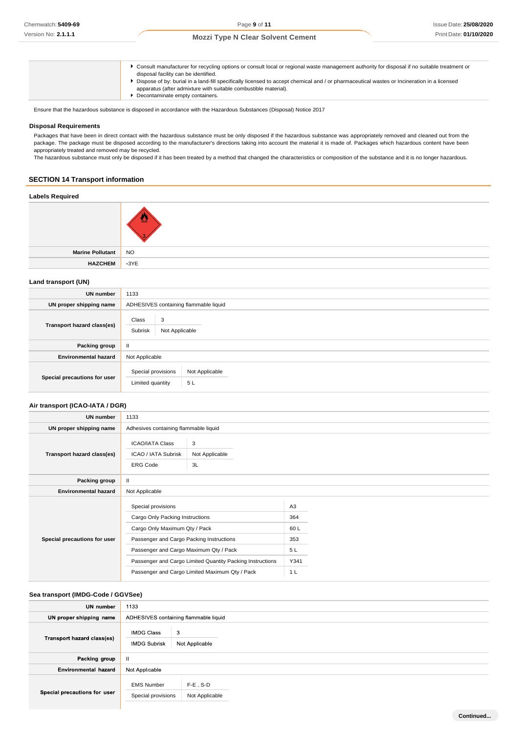| • Consult manufacturer for recycling options or consult local or regional waste management authority for disposal if no suitable treatment or<br>disposal facility can be identified.<br>> Dispose of by: burial in a land-fill specifically licensed to accept chemical and / or pharmaceutical wastes or Incineration in a licensed<br>apparatus (after admixture with suitable combustible material). |
|----------------------------------------------------------------------------------------------------------------------------------------------------------------------------------------------------------------------------------------------------------------------------------------------------------------------------------------------------------------------------------------------------------|
| Decontaminate empty containers.                                                                                                                                                                                                                                                                                                                                                                          |

Ensure that the hazardous substance is disposed in accordance with the Hazardous Substances (Disposal) Notice 2017

### **Disposal Requirements**

Packages that have been in direct contact with the hazardous substance must be only disposed if the hazardous substance was appropriately removed and cleaned out from the package. The package must be disposed according to the manufacturer's directions taking into account the material it is made of. Packages which hazardous content have been appropriately treated and removed may be recycled.

The hazardous substance must only be disposed if it has been treated by a method that changed the characteristics or composition of the substance and it is no longer hazardous.

# **SECTION 14 Transport information**

# **Labels Required**

|                         | 3           |
|-------------------------|-------------|
| <b>Marine Pollutant</b> | <b>NO</b>   |
| <b>HAZCHEM</b>          | $\cdot$ 3YE |

## **Land transport (UN)**

| <b>UN number</b>             | 1133                                                           |
|------------------------------|----------------------------------------------------------------|
| UN proper shipping name      | ADHESIVES containing flammable liquid                          |
| Transport hazard class(es)   | Class<br>3<br>Subrisk<br>Not Applicable                        |
| Packing group                | Ш                                                              |
| <b>Environmental hazard</b>  | Not Applicable                                                 |
| Special precautions for user | Special provisions<br>Not Applicable<br>5L<br>Limited quantity |

## **Air transport (ICAO-IATA / DGR)**

| <b>UN number</b>             | 1133                                                                                                                                                                         |                           |                                           |  |
|------------------------------|------------------------------------------------------------------------------------------------------------------------------------------------------------------------------|---------------------------|-------------------------------------------|--|
| UN proper shipping name      | Adhesives containing flammable liquid                                                                                                                                        |                           |                                           |  |
| Transport hazard class(es)   | <b>ICAO/IATA Class</b><br>ICAO / IATA Subrisk<br><b>ERG Code</b>                                                                                                             | 3<br>Not Applicable<br>3L |                                           |  |
| Packing group                | Ш                                                                                                                                                                            |                           |                                           |  |
| <b>Environmental hazard</b>  | Not Applicable                                                                                                                                                               |                           |                                           |  |
| Special precautions for user | Special provisions<br>Cargo Only Packing Instructions<br>Cargo Only Maximum Qty / Pack<br>Passenger and Cargo Packing Instructions<br>Passenger and Cargo Maximum Qty / Pack |                           | A <sub>3</sub><br>364<br>60L<br>353<br>5L |  |
|                              | Passenger and Cargo Limited Quantity Packing Instructions                                                                                                                    |                           | Y341                                      |  |
|                              | Passenger and Cargo Limited Maximum Qty / Pack                                                                                                                               |                           | 1 <sub>L</sub>                            |  |

## **Sea transport (IMDG-Code / GGVSee)**

| UN number                    | 1133                                          |                               |
|------------------------------|-----------------------------------------------|-------------------------------|
| UN proper shipping name      | ADHESIVES containing flammable liquid         |                               |
| Transport hazard class(es)   | <b>IMDG Class</b><br>3<br><b>IMDG Subrisk</b> | Not Applicable                |
| Packing group                | Ш                                             |                               |
| Environmental hazard         | Not Applicable                                |                               |
| Special precautions for user | <b>EMS Number</b><br>Special provisions       | $F-E$ , S-D<br>Not Applicable |
|                              |                                               |                               |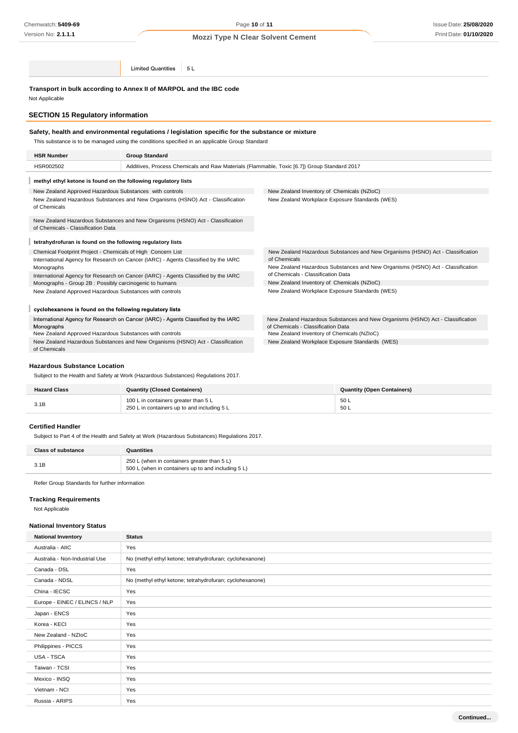**Limited Quantities**  $5L$ 

**Transport in bulk according to Annex II of MARPOL and the IBC code**

Not Applicable

## **SECTION 15 Regulatory information**

## **Safety, health and environmental regulations / legislation specific for the substance or mixture**

This substance is to be managed using the conditions specified in an applicable Group Standard

| <b>HSR Number</b>                                                                              | <b>Group Standard</b>                                                                       |                                                                                                                      |  |
|------------------------------------------------------------------------------------------------|---------------------------------------------------------------------------------------------|----------------------------------------------------------------------------------------------------------------------|--|
| HSR002502                                                                                      | Additives, Process Chemicals and Raw Materials (Flammable, Toxic [6.7]) Group Standard 2017 |                                                                                                                      |  |
| methyl ethyl ketone is found on the following regulatory lists                                 |                                                                                             |                                                                                                                      |  |
| New Zealand Approved Hazardous Substances with controls                                        |                                                                                             | New Zealand Inventory of Chemicals (NZIoC)                                                                           |  |
| New Zealand Hazardous Substances and New Organisms (HSNO) Act - Classification<br>of Chemicals |                                                                                             | New Zealand Workplace Exposure Standards (WES)                                                                       |  |
| of Chemicals - Classification Data                                                             | New Zealand Hazardous Substances and New Organisms (HSNO) Act - Classification              |                                                                                                                      |  |
| tetrahydrofuran is found on the following regulatory lists                                     |                                                                                             |                                                                                                                      |  |
| Chemical Footprint Project - Chemicals of High Concern List                                    |                                                                                             | New Zealand Hazardous Substances and New Organisms (HSNO) Act - Classification                                       |  |
|                                                                                                | International Agency for Research on Cancer (IARC) - Agents Classified by the IARC          | of Chemicals                                                                                                         |  |
| Monographs                                                                                     |                                                                                             | New Zealand Hazardous Substances and New Organisms (HSNO) Act - Classification                                       |  |
|                                                                                                | International Agency for Research on Cancer (IARC) - Agents Classified by the IARC          | of Chemicals - Classification Data                                                                                   |  |
| Monographs - Group 2B : Possibly carcinogenic to humans                                        |                                                                                             | New Zealand Inventory of Chemicals (NZIoC)                                                                           |  |
| New Zealand Approved Hazardous Substances with controls                                        |                                                                                             | New Zealand Workplace Exposure Standards (WES)                                                                       |  |
| cyclohexanone is found on the following regulatory lists                                       |                                                                                             |                                                                                                                      |  |
| Monographs                                                                                     | International Agency for Research on Cancer (IARC) - Agents Classified by the IARC          | New Zealand Hazardous Substances and New Organisms (HSNO) Act - Classification<br>of Chemicals - Classification Data |  |
| New Zealand Approved Hazardous Substances with controls                                        |                                                                                             | New Zealand Inventory of Chemicals (NZIoC)                                                                           |  |
| New Zealand Hazardous Substances and New Organisms (HSNO) Act - Classification                 |                                                                                             | New Zealand Workplace Exposure Standards (WES)                                                                       |  |

of Chemicals

## **Hazardous Substance Location**

Subject to the Health and Safety at Work (Hazardous Substances) Regulations 2017.

| <b>Hazard Class</b> | <b>Quantity (Closed Containers)</b>                                                 | <b>Quantity (Open Containers)</b> |
|---------------------|-------------------------------------------------------------------------------------|-----------------------------------|
| 3.1B                | 100 L in containers greater than 5 L<br>250 L in containers up to and including 5 L | 50 L<br>50 L                      |

#### **Certified Handler**

Subject to Part 4 of the Health and Safety at Work (Hazardous Substances) Regulations 2017.

| <b>Class of substance</b> | Quantities                                                                                        |
|---------------------------|---------------------------------------------------------------------------------------------------|
| 3.1B                      | 250 L (when in containers greater than 5 L)<br>500 L (when in containers up to and including 5 L) |

Refer Group Standards for further information

## **Tracking Requirements**

Not Applicable

### **National Inventory Status**

| <b>National Inventory</b>      | <b>Status</b>                                            |
|--------------------------------|----------------------------------------------------------|
| Australia - AIIC               | Yes                                                      |
| Australia - Non-Industrial Use | No (methyl ethyl ketone; tetrahydrofuran; cyclohexanone) |
| Canada - DSL                   | Yes                                                      |
| Canada - NDSL                  | No (methyl ethyl ketone; tetrahydrofuran; cyclohexanone) |
| China - IECSC                  | Yes                                                      |
| Europe - EINEC / ELINCS / NLP  | Yes                                                      |
| Japan - ENCS                   | Yes                                                      |
| Korea - KECI                   | Yes                                                      |
| New Zealand - NZIoC            | Yes                                                      |
| Philippines - PICCS            | Yes                                                      |
| USA - TSCA                     | Yes                                                      |
| Taiwan - TCSI                  | Yes                                                      |
| Mexico - INSQ                  | Yes                                                      |
| Vietnam - NCI                  | Yes                                                      |
| Russia - ARIPS                 | Yes                                                      |